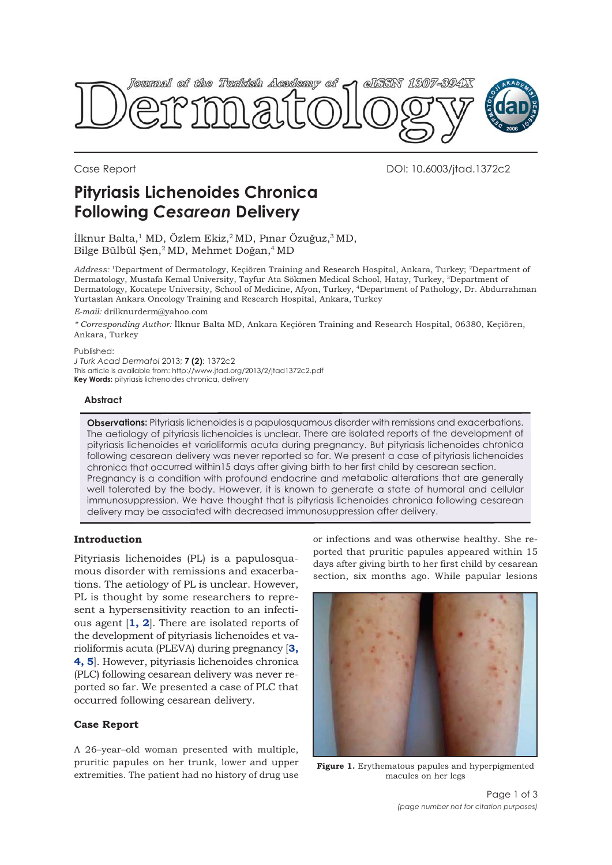

Case Report DOI: 10.6003/jtad.1372c2

# **Pityriasis Lichenoides Chronica Following** *Cesarean* **Delivery**

İlknur Balta,<sup>1</sup> MD, Özlem Ekiz,<sup>2</sup> MD, Pınar Özuğuz,<sup>3</sup> MD, Bilge Bülbül Şen,<sup>2</sup> MD, Mehmet Doğan,<sup>4</sup> MD

*Address:* 1Department of Dermatology, Keçiören Training and Research Hospital, Ankara, Turkey; 2Department of Dermatology, Mustafa Kemal University, Tayfur Ata Sökmen Medical School, Hatay, Turkey, 3Department of Dermatology, Kocatepe University, School of Medicine, Afyon, Turkey, 4Department of Pathology, Dr. Abdurrahman Yurtaslan Ankara Oncology Training and Research Hospital, Ankara, Turkey

*E-mail:* drilknurderm@yahoo.com

*\* Corresponding Author:* İlknur Balta MD, Ankara Keçiören Training and Research Hospital, 06380, Keçiören, Ankara, Turkey

#### Published:

*J Turk Acad Dermatol* 2013; **7 (2)**: 1372c2 This article is available from: http://www.jtad.org/2013/2/jtad1372c2.pdf **Key Words:** pityriasis lichenoides chronica, delivery

#### **Abstract**

**Observations:** Pityriasis lichenoides is a papulosquamous disorder with remissions and exacerbations. The aetiology of pityriasis lichenoides is unclear. There are isolated reports of the development of pityriasis lichenoides et varioliformis acuta during pregnancy. But pityriasis lichenoides chronica following cesarean delivery was never reported so far. We present a case of pityriasis lichenoides chronica that occurred within15 days after giving birth to her first child by cesarean section. Pregnancy is a condition with profound endocrine and metabolic alterations that are generally well tolerated by the body. However, it is known to generate a state of humoral and cellular immunosuppression. We have thought that is pityriasis lichenoides chronica following cesarean delivery may be associated with decreased immunosuppression after delivery.

## **Introduction**

Pityriasis lichenoides (PL) is a papulosquamous disorder with remissions and exacerbations. The aetiology of PL is unclear. However, PL is thought by some researchers to represent a hypersensitivity reaction to an infectious agent [**1, 2**]. There are isolated reports of the development of pityriasis lichenoides et varioliformis acuta (PLEVA) during pregnancy [**3, 4, 5**]. However, pityriasis lichenoides chronica (PLC) following cesarean delivery was never reported so far. We presented a case of PLC that occurred following cesarean delivery.

### **Case Report**

A 26–year–old woman presented with multiple, pruritic papules on her trunk, lower and upper extremities. The patient had no history of drug use

or infections and was otherwise healthy. She reported that pruritic papules appeared within 15 days after giving birth to her first child by cesarean section, six months ago. While papular lesions



**Figure 1.** Erythematous papules and hyperpigmented macules on her legs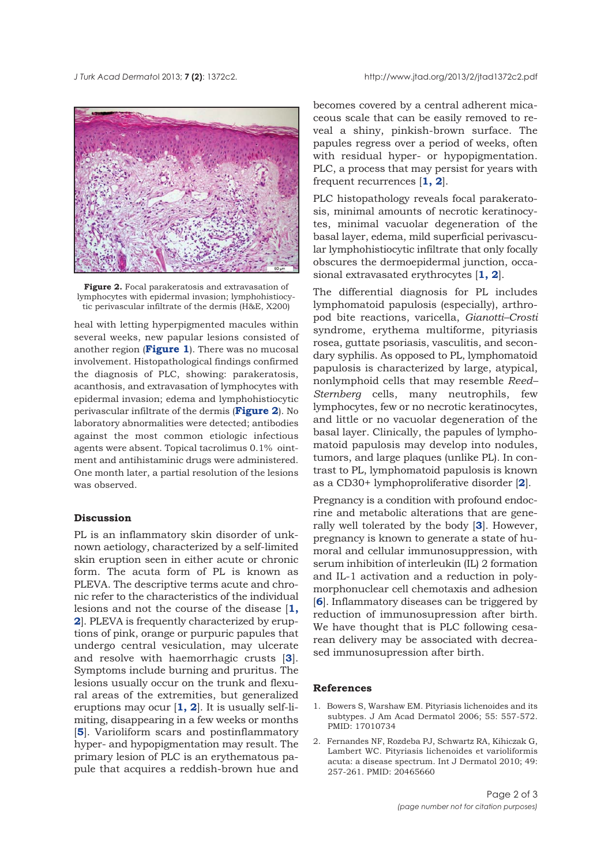

**Figure 2.** Focal parakeratosis and extravasation of lymphocytes with epidermal invasion; lymphohistiocytic perivascular infiltrate of the dermis (H&E, X200)

heal with letting hyperpigmented macules within several weeks, new papular lesions consisted of another region (**Figure 1**). There was no mucosal involvement. Histopathological findings confirmed the diagnosis of PLC, showing: parakeratosis, acanthosis, and extravasation of lymphocytes with epidermal invasion; edema and lymphohistiocytic perivascular infiltrate of the dermis (**Figure 2**). No laboratory abnormalities were detected; antibodies against the most common etiologic infectious agents were absent. Topical tacrolimus 0.1% ointment and antihistaminic drugs were administered. One month later, a partial resolution of the lesions was observed.

## **Discussion**

PL is an inflammatory skin disorder of unknown aetiology, characterized by a self-limited skin eruption seen in either acute or chronic form. The acuta form of PL is known as PLEVA. The descriptive terms acute and chronic refer to the characteristics of the individual lesions and not the course of the disease [**1, 2**]. PLEVA is frequently characterized by eruptions of pink, orange or purpuric papules that undergo central vesiculation, may ulcerate and resolve with haemorrhagic crusts [**3**]. Symptoms include burning and pruritus. The lesions usually occur on the trunk and flexural areas of the extremities, but generalized eruptions may ocur [**1, 2**]. It is usually self-limiting, disappearing in a few weeks or months [**5**]. Varioliform scars and postinflammatory hyper- and hypopigmentation may result. The primary lesion of PLC is an erythematous papule that acquires a reddish-brown hue and

becomes covered by a central adherent micaceous scale that can be easily removed to reveal a shiny, pinkish-brown surface. The papules regress over a period of weeks, often with residual hyper- or hypopigmentation. PLC, a process that may persist for years with frequent recurrences [**1, 2**].

PLC histopathology reveals focal parakeratosis, minimal amounts of necrotic keratinocytes, minimal vacuolar degeneration of the basal layer, edema, mild superficial perivascular lymphohistiocytic infiltrate that only focally obscures the dermoepidermal junction, occasional extravasated erythrocytes [**1, 2**].

The differential diagnosis for PL includes lymphomatoid papulosis (especially), arthropod bite reactions, varicella, *Gianotti–Crosti* syndrome, erythema multiforme, pityriasis rosea, guttate psoriasis, vasculitis, and secondary syphilis. As opposed to PL, lymphomatoid papulosis is characterized by large, atypical, nonlymphoid cells that may resemble *Reed– Sternberg* cells, many neutrophils, few lymphocytes, few or no necrotic keratinocytes, and little or no vacuolar degeneration of the basal layer. Clinically, the papules of lymphomatoid papulosis may develop into nodules, tumors, and large plaques (unlike PL). In contrast to PL, lymphomatoid papulosis is known as a CD30+ lymphoproliferative disorder [**2**].

Pregnancy is a condition with profound endocrine and metabolic alterations that are generally well tolerated by the body [**3**]. However, pregnancy is known to generate a state of humoral and cellular immunosuppression, with serum inhibition of interleukin (IL) 2 formation and IL-1 activation and a reduction in polymorphonuclear cell chemotaxis and adhesion [**6**]. Inflammatory diseases can be triggered by reduction of immunosupression after birth. We have thought that is PLC following cesarean delivery may be associated with decreased immunosupression after birth.

#### **References**

- 1. Bowers S, Warshaw EM. Pityriasis lichenoides and its subtypes. J Am Acad Dermatol 2006; 55: 557-572. PMID: 17010734
- 2. Fernandes NF, Rozdeba PJ, Schwartz RA, Kihiczak G, Lambert WC. Pityriasis lichenoides et varioliformis acuta: a disease spectrum. Int J Dermatol 2010; 49: 257-261. PMID: 20465660